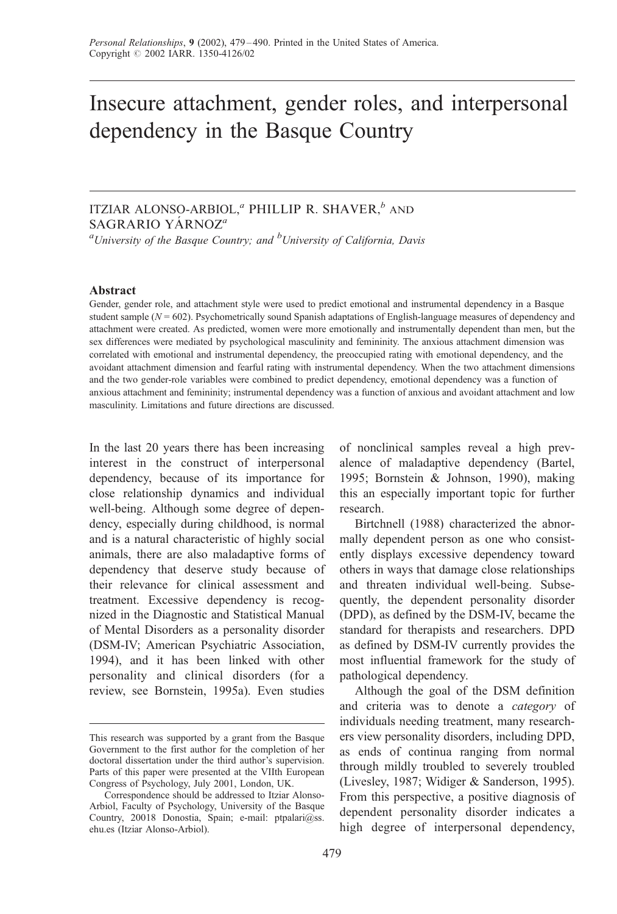# Insecure attachment, gender roles, and interpersonal dependency in the Basque Country

## ITZIAR ALONSO-ARBIOL,<sup> $a$ </sup> PHILLIP R. SHAVER, $b$  AND  $SAGRARIO$  YÁRNOZ<sup>a</sup>

<sup>a</sup>University of the Basque Country; and <sup>b</sup>University of California, Davis

#### Abstract

Gender, gender role, and attachment style were used to predict emotional and instrumental dependency in a Basque student sample ( $N = 602$ ). Psychometrically sound Spanish adaptations of English-language measures of dependency and attachment were created. As predicted, women were more emotionally and instrumentally dependent than men, but the sex differences were mediated by psychological masculinity and femininity. The anxious attachment dimension was correlated with emotional and instrumental dependency, the preoccupied rating with emotional dependency, and the avoidant attachment dimension and fearful rating with instrumental dependency. When the two attachment dimensions and the two gender-role variables were combined to predict dependency, emotional dependency was a function of anxious attachment and femininity; instrumental dependency was a function of anxious and avoidant attachment and low masculinity. Limitations and future directions are discussed.

In the last 20 years there has been increasing interest in the construct of interpersonal dependency, because of its importance for close relationship dynamics and individual well-being. Although some degree of dependency, especially during childhood, is normal and is a natural characteristic of highly social animals, there are also maladaptive forms of dependency that deserve study because of their relevance for clinical assessment and treatment. Excessive dependency is recognized in the Diagnostic and Statistical Manual of Mental Disorders as a personality disorder (DSM-IV; American Psychiatric Association, 1994), and it has been linked with other personality and clinical disorders (for a review, see Bornstein, 1995a). Even studies

of nonclinical samples reveal a high prevalence of maladaptive dependency (Bartel, 1995; Bornstein & Johnson, 1990), making this an especially important topic for further research.

Birtchnell (1988) characterized the abnormally dependent person as one who consistently displays excessive dependency toward others in ways that damage close relationships and threaten individual well-being. Subsequently, the dependent personality disorder (DPD), as defined by the DSM-IV, became the standard for therapists and researchers. DPD as defined by DSM-IV currently provides the most influential framework for the study of pathological dependency.

Although the goal of the DSM definition and criteria was to denote a category of individuals needing treatment, many researchers view personality disorders, including DPD, as ends of continua ranging from normal through mildly troubled to severely troubled (Livesley, 1987; Widiger & Sanderson, 1995). From this perspective, a positive diagnosis of dependent personality disorder indicates a high degree of interpersonal dependency,

This research was supported by a grant from the Basque Government to the first author for the completion of her doctoral dissertation under the third author's supervision. Parts of this paper were presented at the VIIth European Congress of Psychology, July 2001, London, UK.

Correspondence should be addressed to Itziar Alonso-Arbiol, Faculty of Psychology, University of the Basque Country, 20018 Donostia, Spain; e-mail: ptpalari@ss. ehu.es (Itziar Alonso-Arbiol).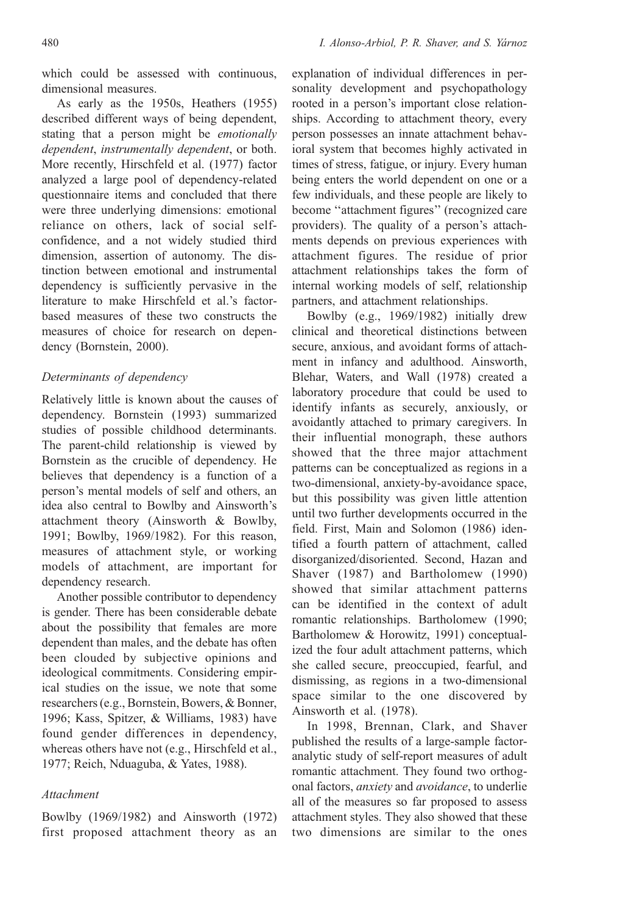which could be assessed with continuous, dimensional measures.

As early as the 1950s, Heathers (1955) described different ways of being dependent, stating that a person might be emotionally dependent, instrumentally dependent, or both. More recently, Hirschfeld et al. (1977) factor analyzed a large pool of dependency-related questionnaire items and concluded that there were three underlying dimensions: emotional reliance on others, lack of social selfconfidence, and a not widely studied third dimension, assertion of autonomy. The distinction between emotional and instrumental dependency is sufficiently pervasive in the literature to make Hirschfeld et al.'s factorbased measures of these two constructs the measures of choice for research on dependency (Bornstein, 2000).

#### Determinants of dependency

Relatively little is known about the causes of dependency. Bornstein (1993) summarized studies of possible childhood determinants. The parent-child relationship is viewed by Bornstein as the crucible of dependency. He believes that dependency is a function of a person's mental models of self and others, an idea also central to Bowlby and Ainsworth's attachment theory (Ainsworth & Bowlby, 1991; Bowlby, 1969/1982). For this reason, measures of attachment style, or working models of attachment, are important for dependency research.

Another possible contributor to dependency is gender. There has been considerable debate about the possibility that females are more dependent than males, and the debate has often been clouded by subjective opinions and ideological commitments. Considering empirical studies on the issue, we note that some researchers (e.g., Bornstein, Bowers, & Bonner, 1996; Kass, Spitzer, & Williams, 1983) have found gender differences in dependency, whereas others have not (e.g., Hirschfeld et al., 1977; Reich, Nduaguba, & Yates, 1988).

#### Attachment

Bowlby (1969/1982) and Ainsworth (1972) first proposed attachment theory as an explanation of individual differences in personality development and psychopathology rooted in a person's important close relationships. According to attachment theory, every person possesses an innate attachment behavioral system that becomes highly activated in times of stress, fatigue, or injury. Every human being enters the world dependent on one or a few individuals, and these people are likely to become ''attachment figures'' (recognized care providers). The quality of a person's attachments depends on previous experiences with attachment figures. The residue of prior attachment relationships takes the form of internal working models of self, relationship partners, and attachment relationships.

Bowlby (e.g., 1969/1982) initially drew clinical and theoretical distinctions between secure, anxious, and avoidant forms of attachment in infancy and adulthood. Ainsworth, Blehar, Waters, and Wall (1978) created a laboratory procedure that could be used to identify infants as securely, anxiously, or avoidantly attached to primary caregivers. In their influential monograph, these authors showed that the three major attachment patterns can be conceptualized as regions in a two-dimensional, anxiety-by-avoidance space, but this possibility was given little attention until two further developments occurred in the field. First, Main and Solomon (1986) identified a fourth pattern of attachment, called disorganized/disoriented. Second, Hazan and Shaver (1987) and Bartholomew (1990) showed that similar attachment patterns can be identified in the context of adult romantic relationships. Bartholomew (1990; Bartholomew & Horowitz, 1991) conceptualized the four adult attachment patterns, which she called secure, preoccupied, fearful, and dismissing, as regions in a two-dimensional space similar to the one discovered by Ainsworth et al. (1978).

In 1998, Brennan, Clark, and Shaver published the results of a large-sample factoranalytic study of self-report measures of adult romantic attachment. They found two orthogonal factors, anxiety and avoidance, to underlie all of the measures so far proposed to assess attachment styles. They also showed that these two dimensions are similar to the ones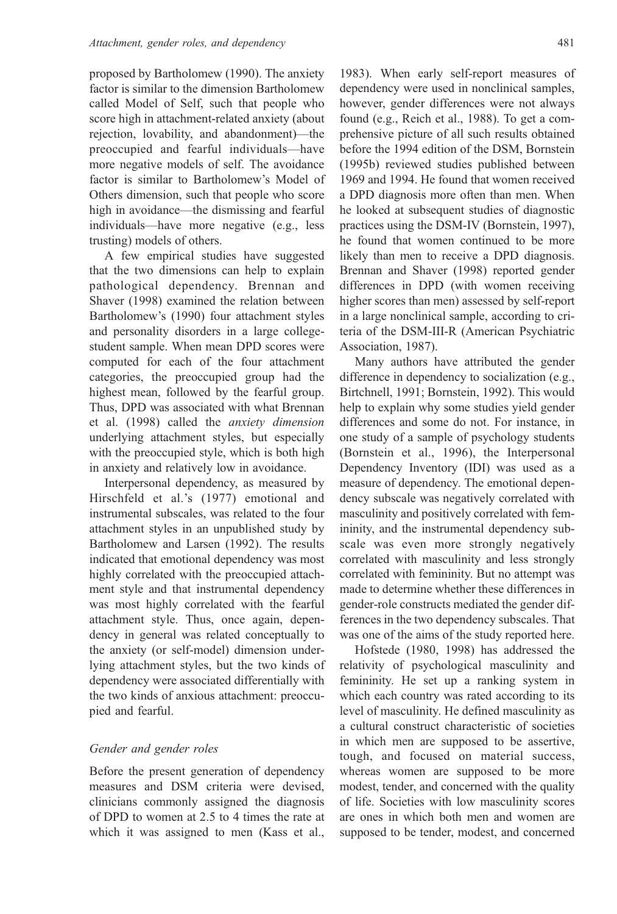proposed by Bartholomew (1990). The anxiety factor is similar to the dimension Bartholomew called Model of Self, such that people who score high in attachment-related anxiety (about rejection, lovability, and abandonment)—the preoccupied and fearful individuals—have more negative models of self. The avoidance factor is similar to Bartholomew's Model of Others dimension, such that people who score high in avoidance—the dismissing and fearful individuals—have more negative (e.g., less trusting) models of others.

A few empirical studies have suggested that the two dimensions can help to explain pathological dependency. Brennan and Shaver (1998) examined the relation between Bartholomew's (1990) four attachment styles and personality disorders in a large collegestudent sample. When mean DPD scores were computed for each of the four attachment categories, the preoccupied group had the highest mean, followed by the fearful group. Thus, DPD was associated with what Brennan et al. (1998) called the anxiety dimension underlying attachment styles, but especially with the preoccupied style, which is both high in anxiety and relatively low in avoidance.

Interpersonal dependency, as measured by Hirschfeld et al.'s (1977) emotional and instrumental subscales, was related to the four attachment styles in an unpublished study by Bartholomew and Larsen (1992). The results indicated that emotional dependency was most highly correlated with the preoccupied attachment style and that instrumental dependency was most highly correlated with the fearful attachment style. Thus, once again, dependency in general was related conceptually to the anxiety (or self-model) dimension underlying attachment styles, but the two kinds of dependency were associated differentially with the two kinds of anxious attachment: preoccupied and fearful.

#### Gender and gender roles

Before the present generation of dependency measures and DSM criteria were devised, clinicians commonly assigned the diagnosis of DPD to women at 2.5 to 4 times the rate at which it was assigned to men (Kass et al.,

1983). When early self-report measures of dependency were used in nonclinical samples, however, gender differences were not always found (e.g., Reich et al., 1988). To get a comprehensive picture of all such results obtained before the 1994 edition of the DSM, Bornstein (1995b) reviewed studies published between 1969 and 1994. He found that women received a DPD diagnosis more often than men. When he looked at subsequent studies of diagnostic practices using the DSM-IV (Bornstein, 1997), he found that women continued to be more likely than men to receive a DPD diagnosis. Brennan and Shaver (1998) reported gender differences in DPD (with women receiving higher scores than men) assessed by self-report in a large nonclinical sample, according to criteria of the DSM-III-R (American Psychiatric Association, 1987).

Many authors have attributed the gender difference in dependency to socialization (e.g., Birtchnell, 1991; Bornstein, 1992). This would help to explain why some studies yield gender differences and some do not. For instance, in one study of a sample of psychology students (Bornstein et al., 1996), the Interpersonal Dependency Inventory (IDI) was used as a measure of dependency. The emotional dependency subscale was negatively correlated with masculinity and positively correlated with femininity, and the instrumental dependency subscale was even more strongly negatively correlated with masculinity and less strongly correlated with femininity. But no attempt was made to determine whether these differences in gender-role constructs mediated the gender differences in the two dependency subscales. That was one of the aims of the study reported here.

Hofstede (1980, 1998) has addressed the relativity of psychological masculinity and femininity. He set up a ranking system in which each country was rated according to its level of masculinity. He defined masculinity as a cultural construct characteristic of societies in which men are supposed to be assertive, tough, and focused on material success, whereas women are supposed to be more modest, tender, and concerned with the quality of life. Societies with low masculinity scores are ones in which both men and women are supposed to be tender, modest, and concerned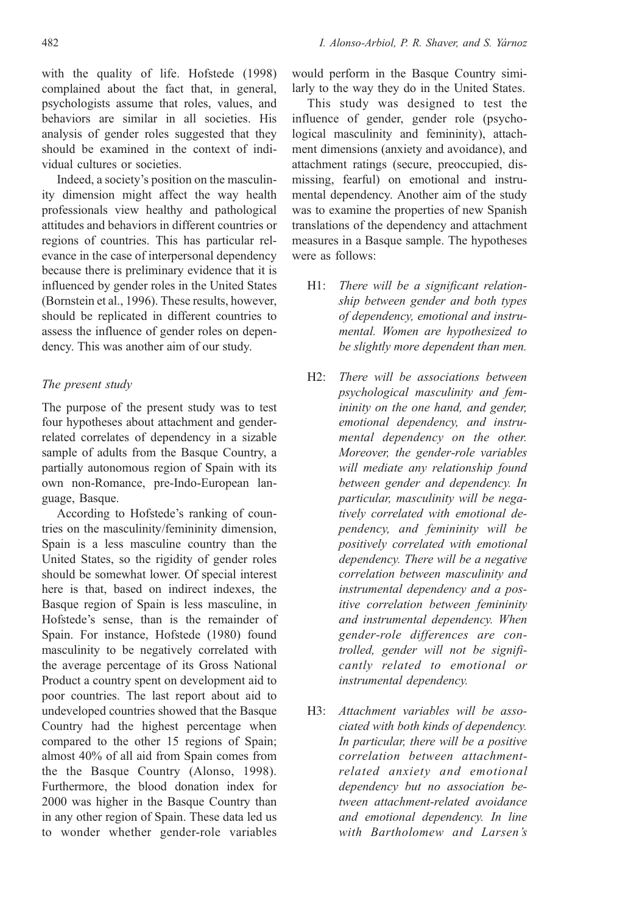with the quality of life. Hofstede (1998) complained about the fact that, in general, psychologists assume that roles, values, and behaviors are similar in all societies. His analysis of gender roles suggested that they should be examined in the context of individual cultures or societies.

Indeed, a society's position on the masculinity dimension might affect the way health professionals view healthy and pathological attitudes and behaviors in different countries or regions of countries. This has particular relevance in the case of interpersonal dependency because there is preliminary evidence that it is influenced by gender roles in the United States (Bornstein et al., 1996). These results, however, should be replicated in different countries to assess the influence of gender roles on dependency. This was another aim of our study.

#### The present study

The purpose of the present study was to test four hypotheses about attachment and genderrelated correlates of dependency in a sizable sample of adults from the Basque Country, a partially autonomous region of Spain with its own non-Romance, pre-Indo-European language, Basque.

According to Hofstede's ranking of countries on the masculinity/femininity dimension, Spain is a less masculine country than the United States, so the rigidity of gender roles should be somewhat lower. Of special interest here is that, based on indirect indexes, the Basque region of Spain is less masculine, in Hofstede's sense, than is the remainder of Spain. For instance, Hofstede (1980) found masculinity to be negatively correlated with the average percentage of its Gross National Product a country spent on development aid to poor countries. The last report about aid to undeveloped countries showed that the Basque Country had the highest percentage when compared to the other 15 regions of Spain; almost 40% of all aid from Spain comes from the the Basque Country (Alonso, 1998). Furthermore, the blood donation index for 2000 was higher in the Basque Country than in any other region of Spain. These data led us to wonder whether gender-role variables

would perform in the Basque Country similarly to the way they do in the United States.

This study was designed to test the influence of gender, gender role (psychological masculinity and femininity), attachment dimensions (anxiety and avoidance), and attachment ratings (secure, preoccupied, dismissing, fearful) on emotional and instrumental dependency. Another aim of the study was to examine the properties of new Spanish translations of the dependency and attachment measures in a Basque sample. The hypotheses were as follows:

- H1: There will be a significant relationship between gender and both types of dependency, emotional and instrumental. Women are hypothesized to be slightly more dependent than men.
- H2: There will be associations between psychological masculinity and femininity on the one hand, and gender, emotional dependency, and instrumental dependency on the other. Moreover, the gender-role variables will mediate any relationship found between gender and dependency. In particular, masculinity will be negatively correlated with emotional dependency, and femininity will be positively correlated with emotional dependency. There will be a negative correlation between masculinity and instrumental dependency and a positive correlation between femininity and instrumental dependency. When gender-role differences are controlled, gender will not be significantly related to emotional or instrumental dependency.
- H3: Attachment variables will be associated with both kinds of dependency. In particular, there will be a positive correlation between attachmentrelated anxiety and emotional dependency but no association between attachment-related avoidance and emotional dependency. In line with Bartholomew and Larsen's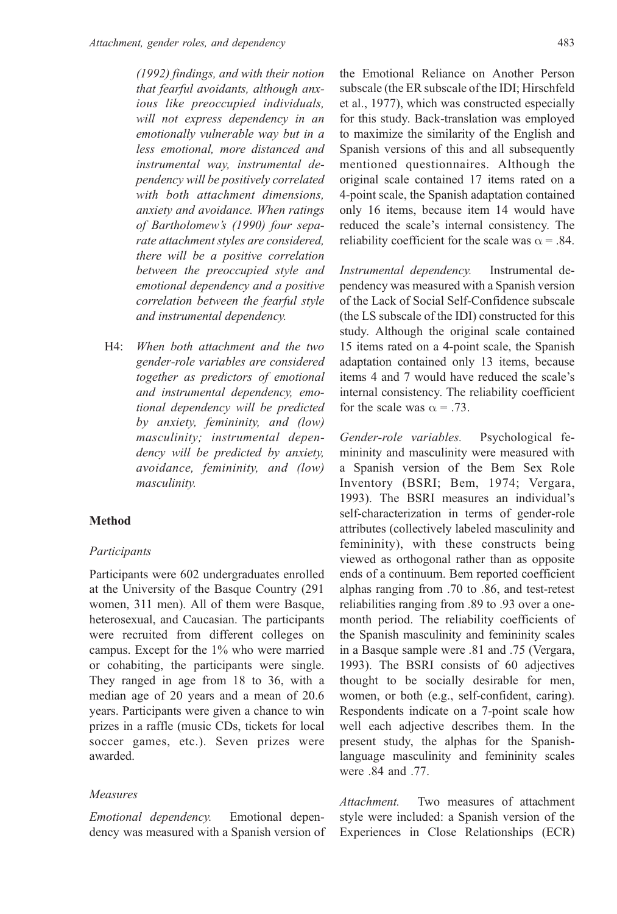(1992) findings, and with their notion that fearful avoidants, although anxious like preoccupied individuals, will not express dependency in an emotionally vulnerable way but in a less emotional, more distanced and instrumental way, instrumental dependency will be positively correlated with both attachment dimensions, anxiety and avoidance. When ratings of Bartholomew's (1990) four separate attachment styles are considered, there will be a positive correlation between the preoccupied style and emotional dependency and a positive correlation between the fearful style and instrumental dependency.

H4: When both attachment and the two gender-role variables are considered together as predictors of emotional and instrumental dependency, emotional dependency will be predicted by anxiety, femininity, and (low) masculinity; instrumental dependency will be predicted by anxiety, avoidance, femininity, and (low) masculinity.

#### Method

#### **Participants**

Participants were 602 undergraduates enrolled at the University of the Basque Country (291 women, 311 men). All of them were Basque, heterosexual, and Caucasian. The participants were recruited from different colleges on campus. Except for the 1% who were married or cohabiting, the participants were single. They ranged in age from 18 to 36, with a median age of 20 years and a mean of 20.6 years. Participants were given a chance to win prizes in a raffle (music CDs, tickets for local soccer games, etc.). Seven prizes were awarded.

#### Measures

Emotional dependency. Emotional dependency was measured with a Spanish version of the Emotional Reliance on Another Person subscale (the ER subscale of the IDI; Hirschfeld et al., 1977), which was constructed especially for this study. Back-translation was employed to maximize the similarity of the English and Spanish versions of this and all subsequently mentioned questionnaires. Although the original scale contained 17 items rated on a 4-point scale, the Spanish adaptation contained only 16 items, because item 14 would have reduced the scale's internal consistency. The reliability coefficient for the scale was  $\alpha = .84$ .

Instrumental dependency. Instrumental dependency was measured with a Spanish version of the Lack of Social Self-Confidence subscale (the LS subscale of the IDI) constructed for this study. Although the original scale contained 15 items rated on a 4-point scale, the Spanish adaptation contained only 13 items, because items 4 and 7 would have reduced the scale's internal consistency. The reliability coefficient for the scale was  $\alpha = .73$ .

Gender-role variables. Psychological femininity and masculinity were measured with a Spanish version of the Bem Sex Role Inventory (BSRI; Bem, 1974; Vergara, 1993). The BSRI measures an individual's self-characterization in terms of gender-role attributes (collectively labeled masculinity and femininity), with these constructs being viewed as orthogonal rather than as opposite ends of a continuum. Bem reported coefficient alphas ranging from .70 to .86, and test-retest reliabilities ranging from .89 to .93 over a onemonth period. The reliability coefficients of the Spanish masculinity and femininity scales in a Basque sample were .81 and .75 (Vergara, 1993). The BSRI consists of 60 adjectives thought to be socially desirable for men, women, or both (e.g., self-confident, caring). Respondents indicate on a 7-point scale how well each adjective describes them. In the present study, the alphas for the Spanishlanguage masculinity and femininity scales were .84 and .77.

Attachment. Two measures of attachment style were included: a Spanish version of the Experiences in Close Relationships (ECR)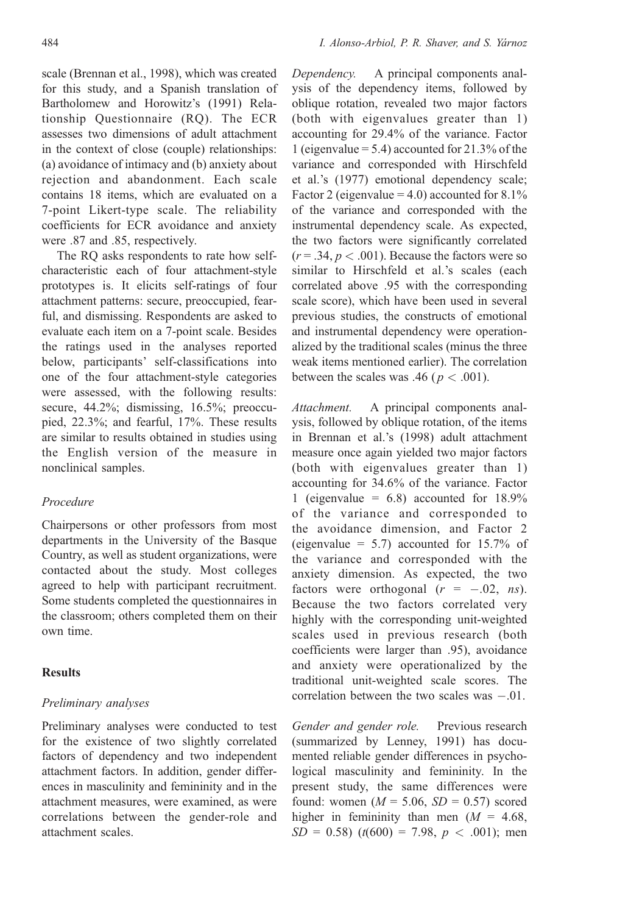scale (Brennan et al., 1998), which was created for this study, and a Spanish translation of Bartholomew and Horowitz's (1991) Relationship Questionnaire (RQ). The ECR assesses two dimensions of adult attachment in the context of close (couple) relationships: (a) avoidance of intimacy and (b) anxiety about rejection and abandonment. Each scale contains 18 items, which are evaluated on a 7-point Likert-type scale. The reliability coefficients for ECR avoidance and anxiety were .87 and .85, respectively.

The RQ asks respondents to rate how selfcharacteristic each of four attachment-style prototypes is. It elicits self-ratings of four attachment patterns: secure, preoccupied, fearful, and dismissing. Respondents are asked to evaluate each item on a 7-point scale. Besides the ratings used in the analyses reported below, participants' self-classifications into one of the four attachment-style categories were assessed, with the following results: secure, 44.2%; dismissing, 16.5%; preoccupied, 22.3%; and fearful, 17%. These results are similar to results obtained in studies using the English version of the measure in nonclinical samples.

### Procedure

Chairpersons or other professors from most departments in the University of the Basque Country, as well as student organizations, were contacted about the study. Most colleges agreed to help with participant recruitment. Some students completed the questionnaires in the classroom; others completed them on their own time.

## Results

## Preliminary analyses

Preliminary analyses were conducted to test for the existence of two slightly correlated factors of dependency and two independent attachment factors. In addition, gender differences in masculinity and femininity and in the attachment measures, were examined, as were correlations between the gender-role and attachment scales.

Dependency. A principal components analysis of the dependency items, followed by oblique rotation, revealed two major factors (both with eigenvalues greater than 1) accounting for 29.4% of the variance. Factor 1 (eigenvalue  $= 5.4$ ) accounted for 21.3% of the variance and corresponded with Hirschfeld et al.'s (1977) emotional dependency scale; Factor 2 (eigenvalue  $= 4.0$ ) accounted for  $8.1\%$ of the variance and corresponded with the instrumental dependency scale. As expected, the two factors were significantly correlated  $(r = .34, p < .001)$ . Because the factors were so similar to Hirschfeld et al.'s scales (each correlated above .95 with the corresponding scale score), which have been used in several previous studies, the constructs of emotional and instrumental dependency were operationalized by the traditional scales (minus the three weak items mentioned earlier). The correlation between the scales was .46 ( $p < .001$ ).

Attachment. A principal components analysis, followed by oblique rotation, of the items in Brennan et al.'s (1998) adult attachment measure once again yielded two major factors (both with eigenvalues greater than 1) accounting for 34.6% of the variance. Factor 1 (eigenvalue =  $6.8$ ) accounted for  $18.9\%$ of the variance and corresponded to the avoidance dimension, and Factor 2 (eigenvalue  $= 5.7$ ) accounted for 15.7% of the variance and corresponded with the anxiety dimension. As expected, the two factors were orthogonal  $(r = -.02, ns)$ . Because the two factors correlated very highly with the corresponding unit-weighted scales used in previous research (both coefficients were larger than .95), avoidance and anxiety were operationalized by the traditional unit-weighted scale scores. The correlation between the two scales was  $-.01$ .

Gender and gender role. Previous research (summarized by Lenney, 1991) has documented reliable gender differences in psychological masculinity and femininity. In the present study, the same differences were found: women  $(M = 5.06, SD = 0.57)$  scored higher in femininity than men  $(M = 4.68)$ ,  $SD = 0.58$ ) ( $t(600) = 7.98$ ,  $p < .001$ ); men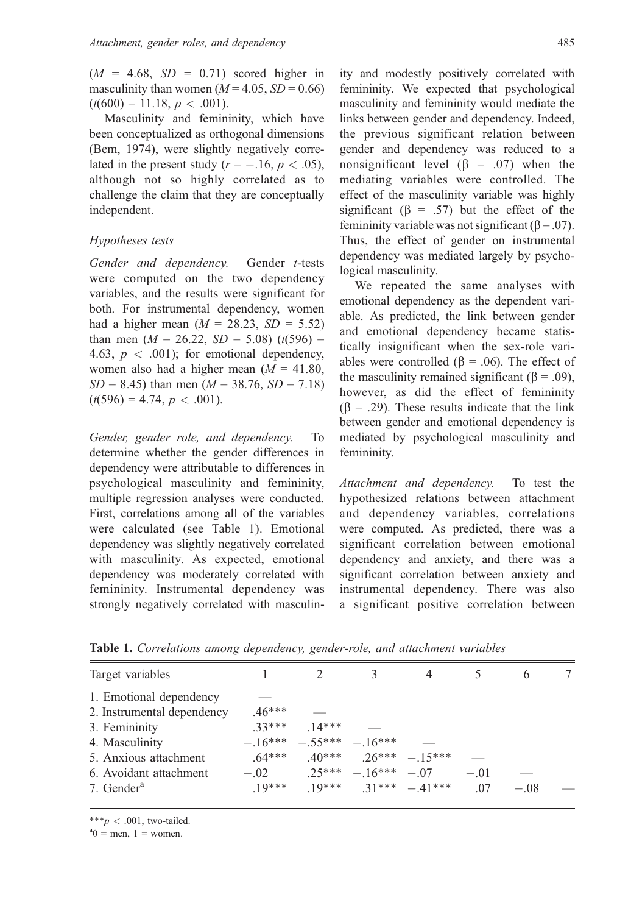$(M = 4.68, SD = 0.71)$  scored higher in masculinity than women  $(M = 4.05, SD = 0.66)$  $(t(600) = 11.18, p < .001).$ 

Masculinity and femininity, which have been conceptualized as orthogonal dimensions (Bem, 1974), were slightly negatively correlated in the present study ( $r = -.16$ ,  $p < .05$ ), although not so highly correlated as to challenge the claim that they are conceptually independent.

#### Hypotheses tests

Gender and dependency. Gender t-tests were computed on the two dependency variables, and the results were significant for both. For instrumental dependency, women had a higher mean  $(M = 28.23, SD = 5.52)$ than men ( $M = 26.22$ ,  $SD = 5.08$ ) ( $t(596) =$ 4.63,  $p < .001$ ); for emotional dependency, women also had a higher mean  $(M = 41.80,$  $SD = 8.45$ ) than men ( $M = 38.76$ ,  $SD = 7.18$ )  $(t(596) = 4.74, p < .001)$ .

Gender, gender role, and dependency. To determine whether the gender differences in dependency were attributable to differences in psychological masculinity and femininity, multiple regression analyses were conducted. First, correlations among all of the variables were calculated (see Table 1). Emotional dependency was slightly negatively correlated with masculinity. As expected, emotional dependency was moderately correlated with femininity. Instrumental dependency was strongly negatively correlated with masculinity and modestly positively correlated with femininity. We expected that psychological masculinity and femininity would mediate the links between gender and dependency. Indeed, the previous significant relation between gender and dependency was reduced to a nonsignificant level ( $\beta$  = .07) when the mediating variables were controlled. The effect of the masculinity variable was highly significant ( $\beta = .57$ ) but the effect of the femininity variable was not significant ( $\beta$  = .07). Thus, the effect of gender on instrumental dependency was mediated largely by psychological masculinity.

We repeated the same analyses with emotional dependency as the dependent variable. As predicted, the link between gender and emotional dependency became statistically insignificant when the sex-role variables were controlled ( $\beta$  = .06). The effect of the masculinity remained significant ( $\beta = .09$ ), however, as did the effect of femininity  $(\beta = .29)$ . These results indicate that the link between gender and emotional dependency is mediated by psychological masculinity and femininity.

Attachment and dependency. To test the hypothesized relations between attachment and dependency variables, correlations were computed. As predicted, there was a significant correlation between emotional dependency and anxiety, and there was a significant correlation between anxiety and instrumental dependency. There was also a significant positive correlation between

| Target variables           |          |                 |                                      |                                 |        | 6      |  |
|----------------------------|----------|-----------------|--------------------------------------|---------------------------------|--------|--------|--|
| 1. Emotional dependency    |          |                 |                                      |                                 |        |        |  |
| 2. Instrumental dependency | $.46***$ |                 |                                      |                                 |        |        |  |
| 3. Femininity              |          | $33***$ $14***$ |                                      |                                 |        |        |  |
| 4. Masculinity             |          |                 | $-.16***$ $-.55***$ $-.16***$        |                                 |        |        |  |
| 5. Anxious attachment      |          |                 | $.64***$ $.40***$ $.26***$ $-.15***$ |                                 |        |        |  |
| 6. Avoidant attachment     |          |                 | $-.02$ $.25***$ $-.16***$ $-.07$     |                                 | $-.01$ |        |  |
| 7. Gender <sup>a</sup>     | $19***$  |                 |                                      | $.19***$ $.31***$ $-.41***$ .07 |        | $-.08$ |  |

Table 1. Correlations among dependency, gender-role, and attachment variables

\*\*\* $p < .001$ , two-tailed.

 $a_0$  = men, 1 = women.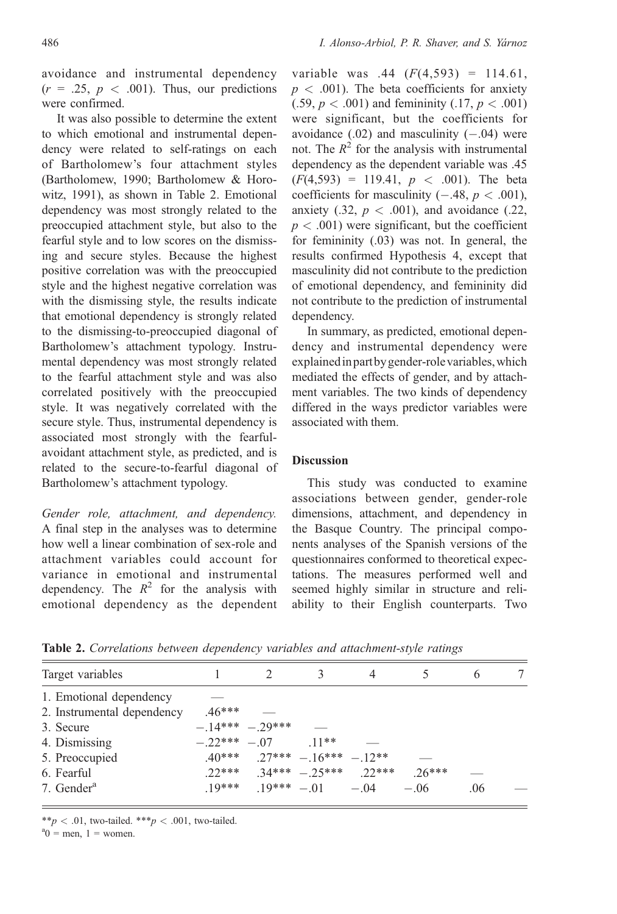avoidance and instrumental dependency  $(r = .25, p < .001)$ . Thus, our predictions were confirmed.

It was also possible to determine the extent to which emotional and instrumental dependency were related to self-ratings on each of Bartholomew's four attachment styles (Bartholomew, 1990; Bartholomew & Horowitz, 1991), as shown in Table 2. Emotional dependency was most strongly related to the preoccupied attachment style, but also to the fearful style and to low scores on the dismissing and secure styles. Because the highest positive correlation was with the preoccupied style and the highest negative correlation was with the dismissing style, the results indicate that emotional dependency is strongly related to the dismissing-to-preoccupied diagonal of Bartholomew's attachment typology. Instrumental dependency was most strongly related to the fearful attachment style and was also correlated positively with the preoccupied style. It was negatively correlated with the secure style. Thus, instrumental dependency is associated most strongly with the fearfulavoidant attachment style, as predicted, and is related to the secure-to-fearful diagonal of Bartholomew's attachment typology.

Gender role, attachment, and dependency. A final step in the analyses was to determine how well a linear combination of sex-role and attachment variables could account for variance in emotional and instrumental dependency. The  $R^2$  for the analysis with emotional dependency as the dependent

variable was .44  $(F(4, 593) = 114.61$ ,  $p < .001$ ). The beta coefficients for anxiety  $(.59, p < .001)$  and femininity  $(.17, p < .001)$ were significant, but the coefficients for avoidance  $(.02)$  and masculinity  $(-.04)$  were not. The  $R^2$  for the analysis with instrumental dependency as the dependent variable was .45  $(F(4,593) = 119.41, p < .001)$ . The beta coefficients for masculinity ( $-.48, p < .001$ ), anxiety (.32,  $p < .001$ ), and avoidance (.22,  $p < .001$ ) were significant, but the coefficient for femininity (.03) was not. In general, the results confirmed Hypothesis 4, except that masculinity did not contribute to the prediction of emotional dependency, and femininity did not contribute to the prediction of instrumental dependency.

In summary, as predicted, emotional dependency and instrumental dependency were explained in part by gender-role variables, which mediated the effects of gender, and by attachment variables. The two kinds of dependency differed in the ways predictor variables were associated with them.

#### **Discussion**

This study was conducted to examine associations between gender, gender-role dimensions, attachment, and dependency in the Basque Country. The principal components analyses of the Spanish versions of the questionnaires conformed to theoretical expectations. The measures performed well and seemed highly similar in structure and reliability to their English counterparts. Two

| Target variables           |          |                                      |                                               | 6   |  |
|----------------------------|----------|--------------------------------------|-----------------------------------------------|-----|--|
| 1. Emotional dependency    |          |                                      |                                               |     |  |
| 2. Instrumental dependency | $.46***$ |                                      |                                               |     |  |
| 3. Secure                  |          | $-14***$ $-29***$                    |                                               |     |  |
| 4. Dismissing              |          | $-.22***-.07$ .11**                  |                                               |     |  |
| 5. Preoccupied             |          | $.40***$ $.27***$ $-.16***$ $-.12**$ |                                               |     |  |
| 6. Fearful                 |          |                                      | $.22***$ $.34***$ $-.25***$ $.22***$ $.26***$ |     |  |
| 7. Gender <sup>a</sup>     |          |                                      | $19***$ $19***$ $-01$ $-04$ $-06$             | .06 |  |

Table 2. Correlations between dependency variables and attachment-style ratings

\*\*p < .01, two-tailed. \*\*\*p < .001, two-tailed.

 $^{\circ}0$  = men, 1 = women.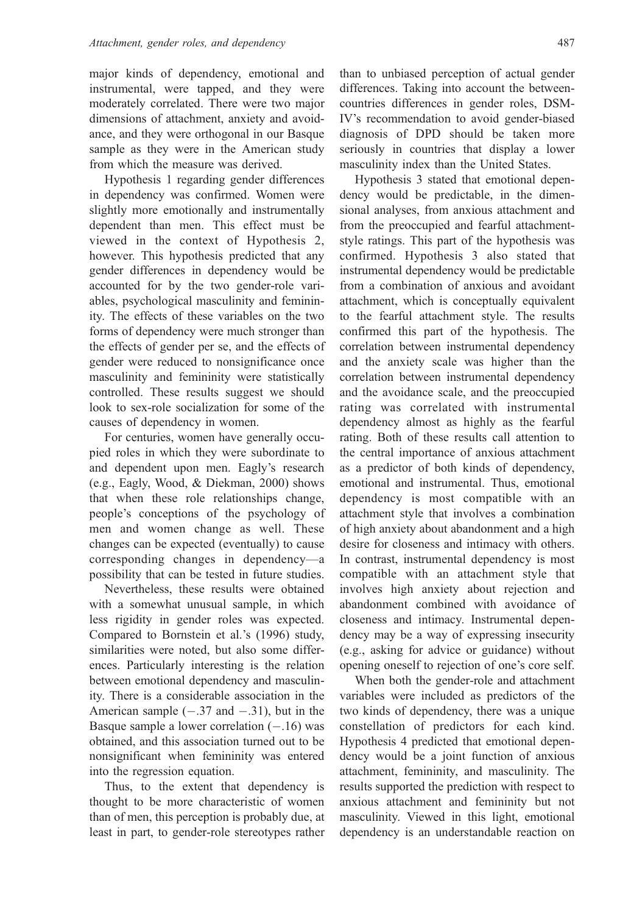major kinds of dependency, emotional and instrumental, were tapped, and they were moderately correlated. There were two major dimensions of attachment, anxiety and avoidance, and they were orthogonal in our Basque sample as they were in the American study from which the measure was derived.

Hypothesis 1 regarding gender differences in dependency was confirmed. Women were slightly more emotionally and instrumentally dependent than men. This effect must be viewed in the context of Hypothesis 2, however. This hypothesis predicted that any gender differences in dependency would be accounted for by the two gender-role variables, psychological masculinity and femininity. The effects of these variables on the two forms of dependency were much stronger than the effects of gender per se, and the effects of gender were reduced to nonsignificance once masculinity and femininity were statistically controlled. These results suggest we should look to sex-role socialization for some of the causes of dependency in women.

For centuries, women have generally occupied roles in which they were subordinate to and dependent upon men. Eagly's research (e.g., Eagly, Wood, & Diekman, 2000) shows that when these role relationships change, people's conceptions of the psychology of men and women change as well. These changes can be expected (eventually) to cause corresponding changes in dependency—a possibility that can be tested in future studies.

Nevertheless, these results were obtained with a somewhat unusual sample, in which less rigidity in gender roles was expected. Compared to Bornstein et al.'s (1996) study, similarities were noted, but also some differences. Particularly interesting is the relation between emotional dependency and masculinity. There is a considerable association in the American sample  $(-.37 \text{ and } -.31)$ , but in the Basque sample a lower correlation  $(-.16)$  was obtained, and this association turned out to be nonsignificant when femininity was entered into the regression equation.

Thus, to the extent that dependency is thought to be more characteristic of women than of men, this perception is probably due, at least in part, to gender-role stereotypes rather than to unbiased perception of actual gender differences. Taking into account the betweencountries differences in gender roles, DSM-IV's recommendation to avoid gender-biased diagnosis of DPD should be taken more seriously in countries that display a lower masculinity index than the United States.

Hypothesis 3 stated that emotional dependency would be predictable, in the dimensional analyses, from anxious attachment and from the preoccupied and fearful attachmentstyle ratings. This part of the hypothesis was confirmed. Hypothesis 3 also stated that instrumental dependency would be predictable from a combination of anxious and avoidant attachment, which is conceptually equivalent to the fearful attachment style. The results confirmed this part of the hypothesis. The correlation between instrumental dependency and the anxiety scale was higher than the correlation between instrumental dependency and the avoidance scale, and the preoccupied rating was correlated with instrumental dependency almost as highly as the fearful rating. Both of these results call attention to the central importance of anxious attachment as a predictor of both kinds of dependency, emotional and instrumental. Thus, emotional dependency is most compatible with an attachment style that involves a combination of high anxiety about abandonment and a high desire for closeness and intimacy with others. In contrast, instrumental dependency is most compatible with an attachment style that involves high anxiety about rejection and abandonment combined with avoidance of closeness and intimacy. Instrumental dependency may be a way of expressing insecurity (e.g., asking for advice or guidance) without opening oneself to rejection of one's core self.

When both the gender-role and attachment variables were included as predictors of the two kinds of dependency, there was a unique constellation of predictors for each kind. Hypothesis 4 predicted that emotional dependency would be a joint function of anxious attachment, femininity, and masculinity. The results supported the prediction with respect to anxious attachment and femininity but not masculinity. Viewed in this light, emotional dependency is an understandable reaction on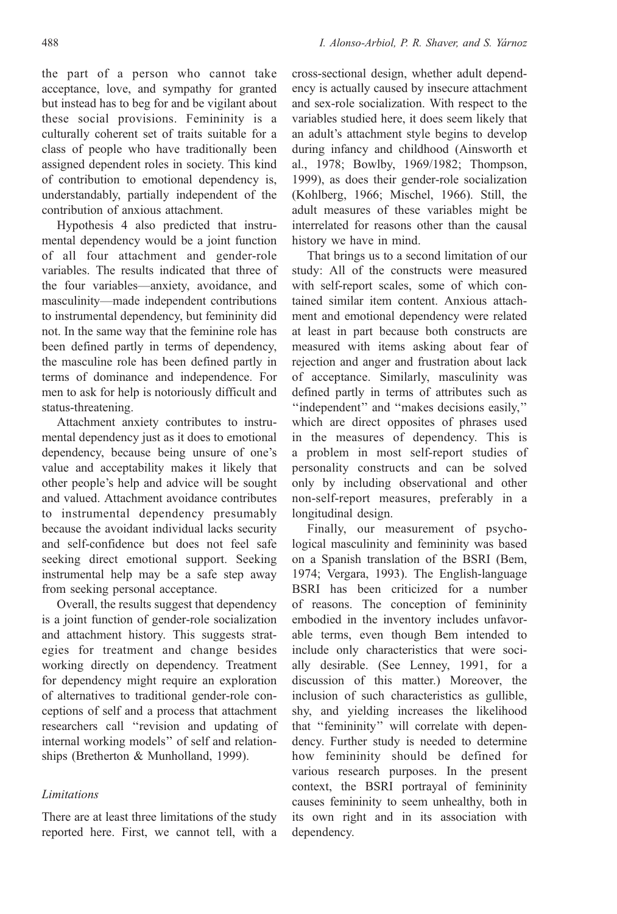the part of a person who cannot take acceptance, love, and sympathy for granted but instead has to beg for and be vigilant about these social provisions. Femininity is a culturally coherent set of traits suitable for a class of people who have traditionally been assigned dependent roles in society. This kind of contribution to emotional dependency is, understandably, partially independent of the contribution of anxious attachment.

Hypothesis 4 also predicted that instrumental dependency would be a joint function of all four attachment and gender-role variables. The results indicated that three of the four variables—anxiety, avoidance, and masculinity—made independent contributions to instrumental dependency, but femininity did not. In the same way that the feminine role has been defined partly in terms of dependency, the masculine role has been defined partly in terms of dominance and independence. For men to ask for help is notoriously difficult and status-threatening.

Attachment anxiety contributes to instrumental dependency just as it does to emotional dependency, because being unsure of one's value and acceptability makes it likely that other people's help and advice will be sought and valued. Attachment avoidance contributes to instrumental dependency presumably because the avoidant individual lacks security and self-confidence but does not feel safe seeking direct emotional support. Seeking instrumental help may be a safe step away from seeking personal acceptance.

Overall, the results suggest that dependency is a joint function of gender-role socialization and attachment history. This suggests strategies for treatment and change besides working directly on dependency. Treatment for dependency might require an exploration of alternatives to traditional gender-role conceptions of self and a process that attachment researchers call ''revision and updating of internal working models'' of self and relationships (Bretherton & Munholland, 1999).

#### Limitations

There are at least three limitations of the study reported here. First, we cannot tell, with a

cross-sectional design, whether adult dependency is actually caused by insecure attachment and sex-role socialization. With respect to the variables studied here, it does seem likely that an adult's attachment style begins to develop during infancy and childhood (Ainsworth et al., 1978; Bowlby, 1969/1982; Thompson, 1999), as does their gender-role socialization (Kohlberg, 1966; Mischel, 1966). Still, the adult measures of these variables might be interrelated for reasons other than the causal history we have in mind.

That brings us to a second limitation of our study: All of the constructs were measured with self-report scales, some of which contained similar item content. Anxious attachment and emotional dependency were related at least in part because both constructs are measured with items asking about fear of rejection and anger and frustration about lack of acceptance. Similarly, masculinity was defined partly in terms of attributes such as ''independent'' and ''makes decisions easily,'' which are direct opposites of phrases used in the measures of dependency. This is a problem in most self-report studies of personality constructs and can be solved only by including observational and other non-self-report measures, preferably in a longitudinal design.

Finally, our measurement of psychological masculinity and femininity was based on a Spanish translation of the BSRI (Bem, 1974; Vergara, 1993). The English-language BSRI has been criticized for a number of reasons. The conception of femininity embodied in the inventory includes unfavorable terms, even though Bem intended to include only characteristics that were socially desirable. (See Lenney, 1991, for a discussion of this matter.) Moreover, the inclusion of such characteristics as gullible, shy, and yielding increases the likelihood that ''femininity'' will correlate with dependency. Further study is needed to determine how femininity should be defined for various research purposes. In the present context, the BSRI portrayal of femininity causes femininity to seem unhealthy, both in its own right and in its association with dependency.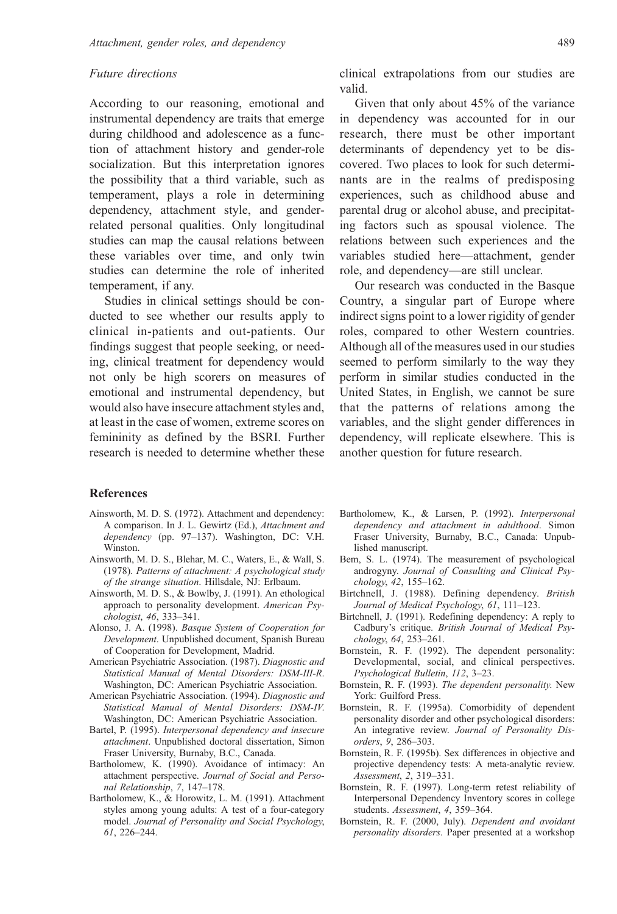#### Future directions

According to our reasoning, emotional and instrumental dependency are traits that emerge during childhood and adolescence as a function of attachment history and gender-role socialization. But this interpretation ignores the possibility that a third variable, such as temperament, plays a role in determining dependency, attachment style, and genderrelated personal qualities. Only longitudinal studies can map the causal relations between these variables over time, and only twin studies can determine the role of inherited temperament, if any.

Studies in clinical settings should be conducted to see whether our results apply to clinical in-patients and out-patients. Our findings suggest that people seeking, or needing, clinical treatment for dependency would not only be high scorers on measures of emotional and instrumental dependency, but would also have insecure attachment styles and, at least in the case of women, extreme scores on femininity as defined by the BSRI. Further research is needed to determine whether these

#### References

- Ainsworth, M. D. S. (1972). Attachment and dependency: A comparison. In J. L. Gewirtz (Ed.), Attachment and dependency (pp. 97–137). Washington, DC: V.H. Winston.
- Ainsworth, M. D. S., Blehar, M. C., Waters, E., & Wall, S. (1978). Patterns of attachment: A psychological study of the strange situation. Hillsdale, NJ: Erlbaum.
- Ainsworth, M. D. S., & Bowlby, J. (1991). An ethological approach to personality development. American Psychologist, 46, 333–341.
- Alonso, J. A. (1998). Basque System of Cooperation for Development. Unpublished document, Spanish Bureau of Cooperation for Development, Madrid.
- American Psychiatric Association. (1987). Diagnostic and Statistical Manual of Mental Disorders: DSM-III-R. Washington, DC: American Psychiatric Association.
- American Psychiatric Association. (1994). Diagnostic and Statistical Manual of Mental Disorders: DSM-IV. Washington, DC: American Psychiatric Association.
- Bartel, P. (1995). Interpersonal dependency and insecure attachment. Unpublished doctoral dissertation, Simon Fraser University, Burnaby, B.C., Canada.
- Bartholomew, K. (1990). Avoidance of intimacy: An attachment perspective. Journal of Social and Personal Relationship, 7, 147–178.
- Bartholomew, K., & Horowitz, L. M. (1991). Attachment styles among young adults: A test of a four-category model. Journal of Personality and Social Psychology, 61, 226–244.

clinical extrapolations from our studies are valid.

Given that only about 45% of the variance in dependency was accounted for in our research, there must be other important determinants of dependency yet to be discovered. Two places to look for such determinants are in the realms of predisposing experiences, such as childhood abuse and parental drug or alcohol abuse, and precipitating factors such as spousal violence. The relations between such experiences and the variables studied here—attachment, gender role, and dependency—are still unclear.

Our research was conducted in the Basque Country, a singular part of Europe where indirect signs point to a lower rigidity of gender roles, compared to other Western countries. Although all of the measures used in our studies seemed to perform similarly to the way they perform in similar studies conducted in the United States, in English, we cannot be sure that the patterns of relations among the variables, and the slight gender differences in dependency, will replicate elsewhere. This is another question for future research.

- Bartholomew, K., & Larsen, P. (1992). Interpersonal dependency and attachment in adulthood. Simon Fraser University, Burnaby, B.C., Canada: Unpublished manuscript.
- Bem, S. L. (1974). The measurement of psychological androgyny. Journal of Consulting and Clinical Psychology, 42, 155–162.
- Birtchnell, J. (1988). Defining dependency. British Journal of Medical Psychology, 61, 111–123.
- Birtchnell, J. (1991). Redefining dependency: A reply to Cadbury's critique. British Journal of Medical Psychology, 64, 253–261.
- Bornstein, R. F. (1992). The dependent personality: Developmental, social, and clinical perspectives. Psychological Bulletin, 112, 3–23.
- Bornstein, R. F. (1993). The dependent personality. New York: Guilford Press.
- Bornstein, R. F. (1995a). Comorbidity of dependent personality disorder and other psychological disorders: An integrative review. Journal of Personality Disorders, 9, 286–303.
- Bornstein, R. F. (1995b). Sex differences in objective and projective dependency tests: A meta-analytic review. Assessment, 2, 319–331.
- Bornstein, R. F. (1997). Long-term retest reliability of Interpersonal Dependency Inventory scores in college students. Assessment, 4, 359–364.
- Bornstein, R. F. (2000, July). Dependent and avoidant personality disorders. Paper presented at a workshop